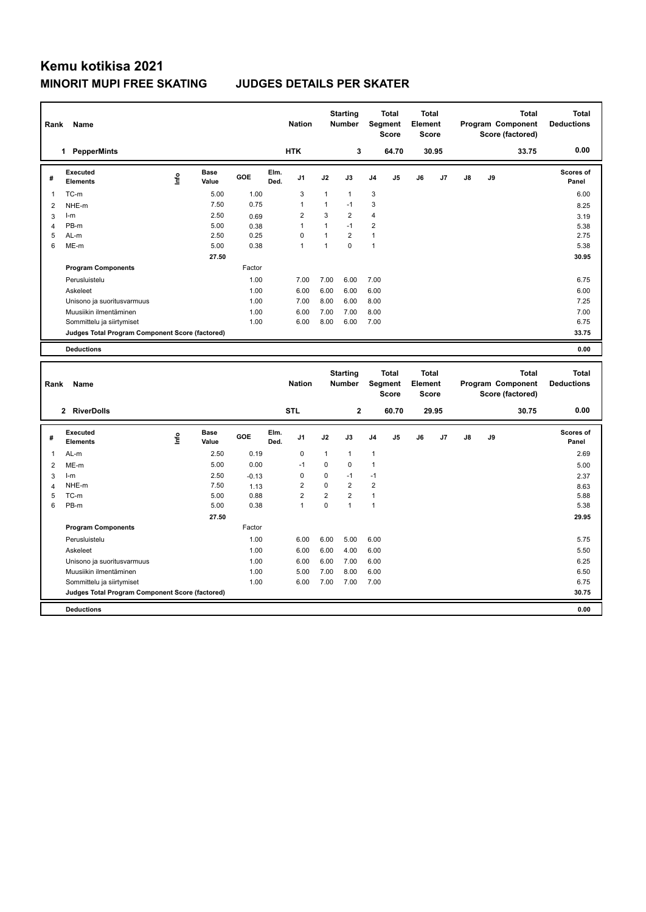## **Kemu kotikisa 2021 MINORIT MUPI FREE SKATING JUDGES DETAILS PER SKATER**

| Rank           | Name                                                 |      |                      |              |              | <b>Nation</b>               |                              | <b>Starting</b><br>Number        |                              | Total<br>Segment<br><b>Score</b>        | <b>Total</b><br>Element<br><b>Score</b> |       |               |    | <b>Total</b><br>Program Component<br>Score (factored) | <b>Total</b><br><b>Deductions</b> |
|----------------|------------------------------------------------------|------|----------------------|--------------|--------------|-----------------------------|------------------------------|----------------------------------|------------------------------|-----------------------------------------|-----------------------------------------|-------|---------------|----|-------------------------------------------------------|-----------------------------------|
|                | 1 PepperMints                                        |      |                      |              |              | <b>HTK</b>                  |                              | 3                                |                              | 64.70                                   |                                         | 30.95 |               |    | 33.75                                                 | 0.00                              |
| #              | Executed<br><b>Elements</b>                          | ١nf٥ | <b>Base</b><br>Value | GOE          | Elm.<br>Ded. | J1                          | J2                           | J3                               | J4                           | J5                                      | J6                                      | J7    | J8            | J9 |                                                       | <b>Scores of</b><br>Panel         |
| 1              | TC-m                                                 |      | 5.00                 | 1.00         |              | 3                           | $\mathbf{1}$                 | $\mathbf{1}$                     | 3                            |                                         |                                         |       |               |    |                                                       | 6.00                              |
| $\overline{2}$ | NHE-m                                                |      | 7.50                 | 0.75         |              | $\mathbf{1}$                | $\mathbf{1}$                 | $-1$                             | 3                            |                                         |                                         |       |               |    |                                                       | 8.25                              |
| 3              | $l-m$                                                |      | 2.50                 | 0.69         |              | $\overline{2}$              | 3                            | $\overline{2}$                   | $\overline{4}$               |                                         |                                         |       |               |    |                                                       | 3.19                              |
| $\overline{4}$ | PB-m                                                 |      | 5.00                 | 0.38         |              | $\mathbf{1}$                | $\mathbf{1}$                 | $-1$                             | $\overline{2}$               |                                         |                                         |       |               |    |                                                       | 5.38                              |
| 5<br>6         | AL-m<br>ME-m                                         |      | 2.50                 | 0.25<br>0.38 |              | $\mathbf 0$<br>$\mathbf{1}$ | $\mathbf{1}$<br>$\mathbf{1}$ | $\overline{2}$<br>$\Omega$       | $\mathbf{1}$<br>$\mathbf{1}$ |                                         |                                         |       |               |    |                                                       | 2.75                              |
|                |                                                      |      | 5.00                 |              |              |                             |                              |                                  |                              |                                         |                                         |       |               |    |                                                       | 5.38                              |
|                |                                                      |      | 27.50                | Factor       |              |                             |                              |                                  |                              |                                         |                                         |       |               |    |                                                       | 30.95                             |
|                | <b>Program Components</b>                            |      |                      |              |              |                             |                              |                                  |                              |                                         |                                         |       |               |    |                                                       |                                   |
|                | Perusluistelu                                        |      |                      | 1.00         |              | 7.00                        | 7.00                         | 6.00                             | 7.00                         |                                         |                                         |       |               |    |                                                       | 6.75                              |
|                | Askeleet                                             |      |                      | 1.00         |              | 6.00                        | 6.00                         | 6.00                             | 6.00<br>8.00                 |                                         |                                         |       |               |    |                                                       | 6.00<br>7.25                      |
|                | Unisono ja suoritusvarmuus<br>Muusiikin ilmentäminen |      |                      | 1.00<br>1.00 |              | 7.00<br>6.00                | 8.00<br>7.00                 | 6.00<br>7.00                     | 8.00                         |                                         |                                         |       |               |    |                                                       | 7.00                              |
|                | Sommittelu ja siirtymiset                            |      |                      | 1.00         |              | 6.00                        | 8.00                         | 6.00                             | 7.00                         |                                         |                                         |       |               |    |                                                       | 6.75                              |
|                | Judges Total Program Component Score (factored)      |      |                      |              |              |                             |                              |                                  |                              |                                         |                                         |       |               |    |                                                       | 33.75                             |
|                |                                                      |      |                      |              |              |                             |                              |                                  |                              |                                         |                                         |       |               |    |                                                       |                                   |
|                | <b>Deductions</b>                                    |      |                      |              |              |                             |                              |                                  |                              |                                         |                                         |       |               |    |                                                       | 0.00                              |
|                |                                                      |      |                      |              |              |                             |                              |                                  |                              |                                         |                                         |       |               |    |                                                       |                                   |
| Rank           | Name                                                 |      |                      |              |              | <b>Nation</b>               |                              | <b>Starting</b><br><b>Number</b> |                              | <b>Total</b><br>Segment<br><b>Score</b> | <b>Total</b><br>Element<br><b>Score</b> |       |               |    | <b>Total</b><br>Program Component<br>Score (factored) | <b>Total</b><br><b>Deductions</b> |
|                | 2 RiverDolls                                         |      |                      |              |              | <b>STL</b>                  |                              | $\mathbf 2$                      |                              | 60.70                                   |                                         | 29.95 |               |    | 30.75                                                 | 0.00                              |
| #              | Executed<br><b>Elements</b>                          | lnfo | Base<br>Value        | GOE          | Elm.<br>Ded. | J1                          | J2                           | J3                               | J4                           | J5                                      | J6                                      | J7    | $\mathsf{J}8$ | J9 |                                                       | <b>Scores of</b><br>Panel         |
| 1              |                                                      |      |                      | 0.19         |              | 0                           | 1                            | $\mathbf{1}$                     |                              |                                         |                                         |       |               |    |                                                       |                                   |
| $\overline{2}$ | AL-m<br>ME-m                                         |      | 2.50<br>5.00         | 0.00         |              | $-1$                        | 0                            | $\mathbf 0$                      | $\mathbf{1}$<br>$\mathbf{1}$ |                                         |                                         |       |               |    |                                                       | 2.69<br>5.00                      |
| 3              | $l-m$                                                |      | 2.50                 | $-0.13$      |              | 0                           | 0                            | $-1$                             | $-1$                         |                                         |                                         |       |               |    |                                                       | 2.37                              |
| $\overline{4}$ | NHE-m                                                |      | 7.50                 | 1.13         |              | $\overline{2}$              | 0                            | $\overline{2}$                   | $\overline{2}$               |                                         |                                         |       |               |    |                                                       | 8.63                              |
| 5              | TC-m                                                 |      | 5.00                 | 0.88         |              | $\overline{2}$              | $\overline{\mathbf{c}}$      | $\overline{2}$                   | $\mathbf{1}$                 |                                         |                                         |       |               |    |                                                       | 5.88                              |
| 6              | PB-m                                                 |      | 5.00                 | 0.38         |              | $\mathbf{1}$                | 0                            | $\overline{1}$                   | $\mathbf{1}$                 |                                         |                                         |       |               |    |                                                       | 5.38                              |
|                |                                                      |      | 27.50                |              |              |                             |                              |                                  |                              |                                         |                                         |       |               |    |                                                       | 29.95                             |
|                | <b>Program Components</b>                            |      |                      | Factor       |              |                             |                              |                                  |                              |                                         |                                         |       |               |    |                                                       |                                   |
|                | Perusluistelu                                        |      |                      | 1.00         |              | 6.00                        | 6.00                         | 5.00                             | 6.00                         |                                         |                                         |       |               |    |                                                       | 5.75                              |
|                | Askeleet                                             |      |                      | 1.00         |              | 6.00                        | 6.00                         | 4.00                             | 6.00                         |                                         |                                         |       |               |    |                                                       | 5.50                              |
|                | Unisono ja suoritusvarmuus                           |      |                      | 1.00         |              | 6.00                        | 6.00                         | 7.00                             | 6.00                         |                                         |                                         |       |               |    |                                                       | 6.25                              |
|                | Muusiikin ilmentäminen                               |      |                      | 1.00         |              | 5.00                        | 7.00                         | 8.00                             | 6.00                         |                                         |                                         |       |               |    |                                                       | 6.50                              |
|                | Sommittelu ja siirtymiset                            |      |                      | 1.00         |              | 6.00                        | 7.00                         | 7.00                             | 7.00                         |                                         |                                         |       |               |    |                                                       | 6.75                              |
|                | Judges Total Program Component Score (factored)      |      |                      |              |              |                             |                              |                                  |                              |                                         |                                         |       |               |    |                                                       | 30.75                             |